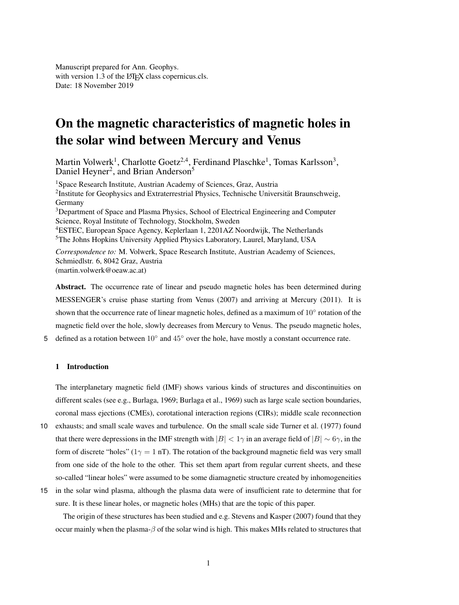Manuscript prepared for Ann. Geophys. with version 1.3 of the LAT<sub>EX</sub> class copernicus.cls. Date: 18 November 2019

# On the magnetic characteristics of magnetic holes in the solar wind between Mercury and Venus

Martin Volwerk<sup>1</sup>, Charlotte Goetz<sup>2,4</sup>, Ferdinand Plaschke<sup>1</sup>, Tomas Karlsson<sup>3</sup>, Daniel Heyner<sup>2</sup>, and Brian Anderson<sup>5</sup>

<sup>1</sup>Space Research Institute, Austrian Academy of Sciences, Graz, Austria  $2$ Institute for Geophysics and Extraterrestrial Physics, Technische Universität Braunschweig, Germany <sup>3</sup>Department of Space and Plasma Physics, School of Electrical Engineering and Computer Science, Royal Institute of Technology, Stockholm, Sweden <sup>4</sup>ESTEC, European Space Agency, Keplerlaan 1, 2201AZ Noordwijk, The Netherlands <sup>5</sup>The Johns Hopkins University Applied Physics Laboratory, Laurel, Maryland, USA

*Correspondence to:* M. Volwerk, Space Research Institute, Austrian Academy of Sciences, Schmiedlstr. 6, 8042 Graz, Austria (martin.volwerk@oeaw.ac.at)

Abstract. The occurrence rate of linear and pseudo magnetic holes has been determined during MESSENGER's cruise phase starting from Venus (2007) and arriving at Mercury (2011). It is shown that the occurrence rate of linear magnetic holes, defined as a maximum of  $10^{\circ}$  rotation of the magnetic field over the hole, slowly decreases from Mercury to Venus. The pseudo magnetic holes,

5 defined as a rotation between  $10°$  and  $45°$  over the hole, have mostly a constant occurrence rate.

# 1 Introduction

The interplanetary magnetic field (IMF) shows various kinds of structures and discontinuities on different scales (see e.g., Burlaga, 1969; Burlaga et al., 1969) such as large scale section boundaries, coronal mass ejections (CMEs), corotational interaction regions (CIRs); middle scale reconnection

- 10 exhausts; and small scale waves and turbulence. On the small scale side Turner et al. (1977) found that there were depressions in the IMF strength with  $|B| < 1<sub>\gamma</sub>$  in an average field of  $|B| \sim 6<sub>\gamma</sub>$ , in the form of discrete "holes" ( $1\gamma = 1$  nT). The rotation of the background magnetic field was very small from one side of the hole to the other. This set them apart from regular current sheets, and these so-called "linear holes" were assumed to be some diamagnetic structure created by inhomogeneities
- 15 in the solar wind plasma, although the plasma data were of insufficient rate to determine that for sure. It is these linear holes, or magnetic holes (MHs) that are the topic of this paper.

The origin of these structures has been studied and e.g. Stevens and Kasper (2007) found that they occur mainly when the plasma- $\beta$  of the solar wind is high. This makes MHs related to structures that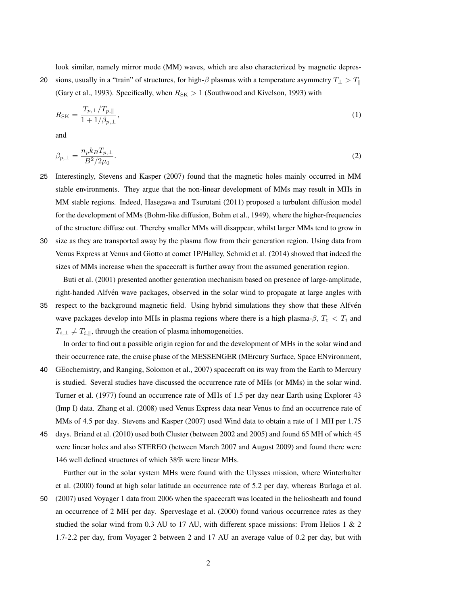look similar, namely mirror mode (MM) waves, which are also characterized by magnetic depres-

20 sions, usually in a "train" of structures, for high- $\beta$  plasmas with a temperature asymmetry  $T_{\perp} > T_{\parallel}$ (Gary et al., 1993). Specifically, when  $R_{SK} > 1$  (Southwood and Kivelson, 1993) with

$$
R_{\rm SK} = \frac{T_{p,\perp}/T_{p,\parallel}}{1 + 1/\beta_{p,\perp}},\tag{1}
$$

and

$$
\beta_{p,\perp} = \frac{n_p k_B T_{p,\perp}}{B^2 / 2\mu_0}.\tag{2}
$$

- 25 Interestingly, Stevens and Kasper (2007) found that the magnetic holes mainly occurred in MM stable environments. They argue that the non-linear development of MMs may result in MHs in MM stable regions. Indeed, Hasegawa and Tsurutani (2011) proposed a turbulent diffusion model for the development of MMs (Bohm-like diffusion, Bohm et al., 1949), where the higher-frequencies of the structure diffuse out. Thereby smaller MMs will disappear, whilst larger MMs tend to grow in
- 30 size as they are transported away by the plasma flow from their generation region. Using data from Venus Express at Venus and Giotto at comet 1P/Halley, Schmid et al. (2014) showed that indeed the sizes of MMs increase when the spacecraft is further away from the assumed generation region.

Buti et al. (2001) presented another generation mechanism based on presence of large-amplitude, right-handed Alfven wave packages, observed in the solar wind to propagate at large angles with ´

35 respect to the background magnetic field. Using hybrid simulations they show that these Alfven´ wave packages develop into MHs in plasma regions where there is a high plasma- $\beta$ ,  $T_e < T_i$  and  $T_{i,\perp}\neq T_{i,\parallel},$  through the creation of plasma inhomogeneities.

In order to find out a possible origin region for and the development of MHs in the solar wind and their occurrence rate, the cruise phase of the MESSENGER (MErcury Surface, Space ENvironment,

- 40 GEochemistry, and Ranging, Solomon et al., 2007) spacecraft on its way from the Earth to Mercury is studied. Several studies have discussed the occurrence rate of MHs (or MMs) in the solar wind. Turner et al. (1977) found an occurrence rate of MHs of 1.5 per day near Earth using Explorer 43 (Imp I) data. Zhang et al. (2008) used Venus Express data near Venus to find an occurrence rate of MMs of 4.5 per day. Stevens and Kasper (2007) used Wind data to obtain a rate of 1 MH per 1.75
- 45 days. Briand et al. (2010) used both Cluster (between 2002 and 2005) and found 65 MH of which 45 were linear holes and also STEREO (between March 2007 and August 2009) and found there were 146 well defined structures of which 38% were linear MHs.

Further out in the solar system MHs were found with the Ulysses mission, where Winterhalter et al. (2000) found at high solar latitude an occurrence rate of 5.2 per day, whereas Burlaga et al.

50 (2007) used Voyager 1 data from 2006 when the spacecraft was located in the heliosheath and found an occurrence of 2 MH per day. Sperveslage et al. (2000) found various occurrence rates as they studied the solar wind from 0.3 AU to 17 AU, with different space missions: From Helios 1  $\&$  2 1.7-2.2 per day, from Voyager 2 between 2 and 17 AU an average value of 0.2 per day, but with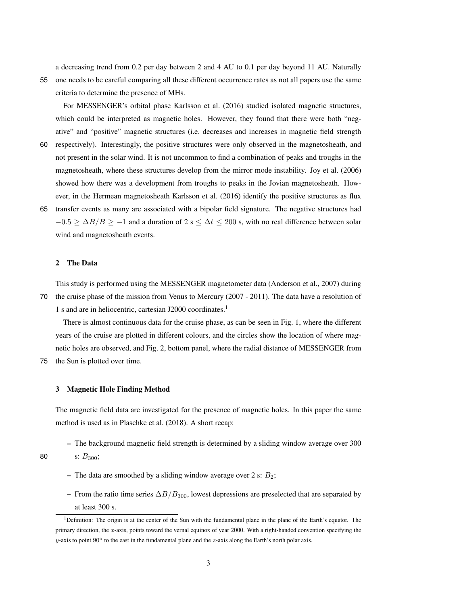a decreasing trend from 0.2 per day between 2 and 4 AU to 0.1 per day beyond 11 AU. Naturally

55 one needs to be careful comparing all these different occurrence rates as not all papers use the same criteria to determine the presence of MHs.

For MESSENGER's orbital phase Karlsson et al. (2016) studied isolated magnetic structures, which could be interpreted as magnetic holes. However, they found that there were both "negative" and "positive" magnetic structures (i.e. decreases and increases in magnetic field strength

- 60 respectively). Interestingly, the positive structures were only observed in the magnetosheath, and not present in the solar wind. It is not uncommon to find a combination of peaks and troughs in the magnetosheath, where these structures develop from the mirror mode instability. Joy et al. (2006) showed how there was a development from troughs to peaks in the Jovian magnetosheath. However, in the Hermean magnetosheath Karlsson et al. (2016) identify the positive structures as flux
- 65 transfer events as many are associated with a bipolar field signature. The negative structures had  $-0.5 \ge \Delta B/B \ge -1$  and a duration of 2 s  $\le \Delta t \le 200$  s, with no real difference between solar wind and magnetosheath events.

#### 2 The Data

This study is performed using the MESSENGER magnetometer data (Anderson et al., 2007) during

70 the cruise phase of the mission from Venus to Mercury (2007 - 2011). The data have a resolution of 1 s and are in heliocentric, cartesian J2000 coordinates.<sup>1</sup>

There is almost continuous data for the cruise phase, as can be seen in Fig. 1, where the different years of the cruise are plotted in different colours, and the circles show the location of where magnetic holes are observed, and Fig. 2, bottom panel, where the radial distance of MESSENGER from

75 the Sun is plotted over time.

s:  $B_{300}$ ;

## 3 Magnetic Hole Finding Method

The magnetic field data are investigated for the presence of magnetic holes. In this paper the same method is used as in Plaschke et al. (2018). A short recap:

– The background magnetic field strength is determined by a sliding window average over 300

$$
{}^{80}
$$

- The data are smoothed by a sliding window average over 2 s:  $B_2$ ;
- From the ratio time series  $\Delta B/B_{300}$ , lowest depressions are preselected that are separated by at least 300 s.

<sup>&</sup>lt;sup>1</sup>Definition: The origin is at the center of the Sun with the fundamental plane in the plane of the Earth's equator. The primary direction, the x-axis, points toward the vernal equinox of year 2000. With a right-handed convention specifying the y-axis to point 90 $\degree$  to the east in the fundamental plane and the z-axis along the Earth's north polar axis.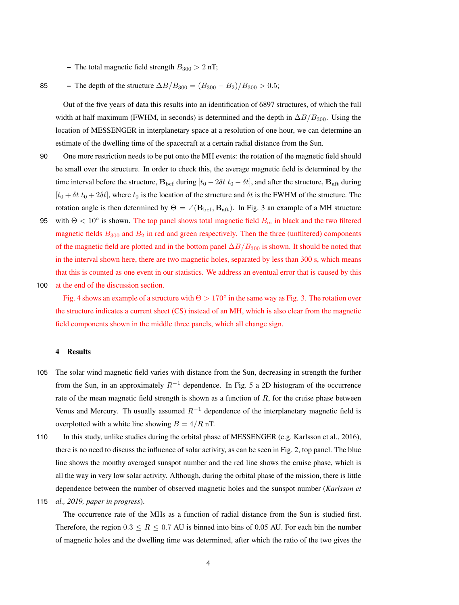– The total magnetic field strength  $B_{300} > 2$  nT;

# 85 – The depth of the structure  $\Delta B/B_{300} = (B_{300} - B_2)/B_{300} > 0.5;$

Out of the five years of data this results into an identification of 6897 structures, of which the full width at half maximum (FWHM, in seconds) is determined and the depth in  $\Delta B/B_{300}$ . Using the location of MESSENGER in interplanetary space at a resolution of one hour, we can determine an estimate of the dwelling time of the spacecraft at a certain radial distance from the Sun.

- 90 One more restriction needs to be put onto the MH events: the rotation of the magnetic field should be small over the structure. In order to check this, the average magnetic field is determined by the time interval before the structure,  $\mathbf{B}_{\text{bef}}$  during  $[t_0 - 2\delta t \ t_0 - \delta t]$ , and after the structure,  $\mathbf{B}_{\text{aff}}$  during  $[t_0 + \delta t \ t_0 + 2\delta t]$ , where  $t_0$  is the location of the structure and  $\delta t$  is the FWHM of the structure. The rotation angle is then determined by  $\Theta = \angle (\mathbf{B}_{\text{bef}}, \mathbf{B}_{\text{aft}})$ . In Fig. 3 an example of a MH structure
- 95 with  $\Theta < 10^{\circ}$  is shown. The top panel shows total magnetic field  $B_{\rm m}$  in black and the two filtered magnetic fields  $B_{300}$  and  $B_2$  in red and green respectively. Then the three (unfiltered) components of the magnetic field are plotted and in the bottom panel  $\Delta B/B_{300}$  is shown. It should be noted that in the interval shown here, there are two magnetic holes, separated by less than 300 s, which means that this is counted as one event in our statistics. We address an eventual error that is caused by this
- 100 at the end of the discussion section.

Fig. 4 shows an example of a structure with  $\Theta > 170^{\circ}$  in the same way as Fig. 3. The rotation over the structure indicates a current sheet (CS) instead of an MH, which is also clear from the magnetic field components shown in the middle three panels, which all change sign.

#### 4 Results

- 105 The solar wind magnetic field varies with distance from the Sun, decreasing in strength the further from the Sun, in an approximately  $R^{-1}$  dependence. In Fig. 5 a 2D histogram of the occurrence rate of the mean magnetic field strength is shown as a function of  $R$ , for the cruise phase between Venus and Mercury. Th usually assumed  $R^{-1}$  dependence of the interplanetary magnetic field is overplotted with a white line showing  $B = 4/R \text{ nT}$ .
- 110 In this study, unlike studies during the orbital phase of MESSENGER (e.g. Karlsson et al., 2016), there is no need to discuss the influence of solar activity, as can be seen in Fig. 2, top panel. The blue line shows the monthy averaged sunspot number and the red line shows the cruise phase, which is all the way in very low solar activity. Although, during the orbital phase of the mission, there is little dependence between the number of observed magnetic holes and the sunspot number (*Karlsson et*
- 115 *al., 2019, paper in progress*).

The occurrence rate of the MHs as a function of radial distance from the Sun is studied first. Therefore, the region  $0.3 \le R \le 0.7$  AU is binned into bins of 0.05 AU. For each bin the number of magnetic holes and the dwelling time was determined, after which the ratio of the two gives the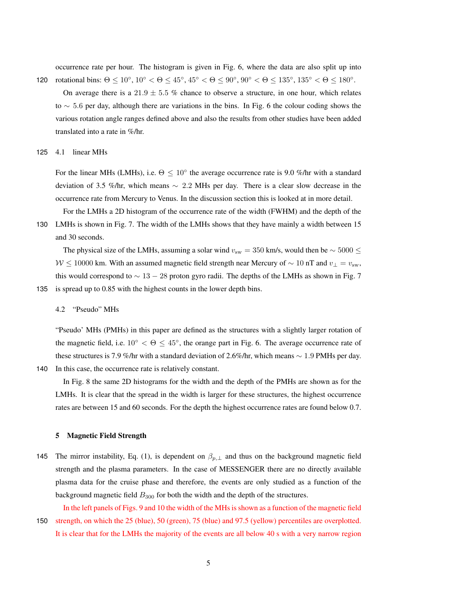occurrence rate per hour. The histogram is given in Fig. 6, where the data are also split up into 120 rotational bins:  $\Theta \le 10^{\circ}$ ,  $10^{\circ} < \Theta \le 45^{\circ}$ ,  $45^{\circ} < \Theta \le 90^{\circ}$ ,  $90^{\circ} < \Theta \le 135^{\circ}$ ,  $135^{\circ} < \Theta \le 180^{\circ}$ .

On average there is a  $21.9 \pm 5.5$  % chance to observe a structure, in one hour, which relates to ∼ 5.6 per day, although there are variations in the bins. In Fig. 6 the colour coding shows the various rotation angle ranges defined above and also the results from other studies have been added translated into a rate in %/hr.

125 4.1 linear MHs

For the linear MHs (LMHs), i.e.  $\Theta \leq 10^{\circ}$  the average occurrence rate is 9.0 %/hr with a standard deviation of 3.5 %/hr, which means ∼ 2.2 MHs per day. There is a clear slow decrease in the occurrence rate from Mercury to Venus. In the discussion section this is looked at in more detail.

For the LMHs a 2D histogram of the occurrence rate of the width (FWHM) and the depth of the 130 LMHs is shown in Fig. 7. The width of the LMHs shows that they have mainly a width between 15 and 30 seconds.

The physical size of the LMHs, assuming a solar wind  $v_{\text{sw}} = 350$  km/s, would then be  $\sim 5000 \le$  $W \le 10000$  km. With an assumed magnetic field strength near Mercury of  $\sim 10$  nT and  $v_{\perp} = v_{sw}$ , this would correspond to  $\sim 13 - 28$  proton gyro radii. The depths of the LMHs as shown in Fig. 7 135 is spread up to 0.85 with the highest counts in the lower depth bins.

4.2 "Pseudo" MHs

"Pseudo' MHs (PMHs) in this paper are defined as the structures with a slightly larger rotation of the magnetic field, i.e.  $10^{\circ} < \Theta \leq 45^{\circ}$ , the orange part in Fig. 6. The average occurrence rate of these structures is 7.9 %/hr with a standard deviation of 2.6%/hr, which means ∼ 1.9 PMHs per day. 140 In this case, the occurrence rate is relatively constant.

In Fig. 8 the same 2D histograms for the width and the depth of the PMHs are shown as for the LMHs. It is clear that the spread in the width is larger for these structures, the highest occurrence rates are between 15 and 60 seconds. For the depth the highest occurrence rates are found below 0.7.

#### 5 Magnetic Field Strength

145 The mirror instability, Eq. (1), is dependent on  $\beta_{p,\perp}$  and thus on the background magnetic field strength and the plasma parameters. In the case of MESSENGER there are no directly available plasma data for the cruise phase and therefore, the events are only studied as a function of the background magnetic field  $B_{300}$  for both the width and the depth of the structures.

In the left panels of Figs. 9 and 10 the width of the MHs is shown as a function of the magnetic field 150 strength, on which the 25 (blue), 50 (green), 75 (blue) and 97.5 (yellow) percentiles are overplotted. It is clear that for the LMHs the majority of the events are all below 40 s with a very narrow region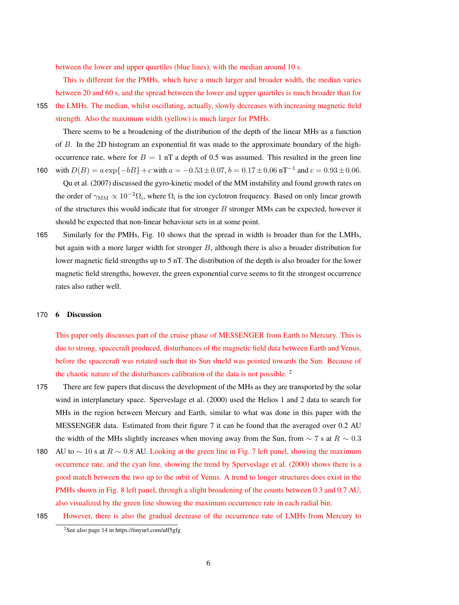between the lower and upper quartiles (blue lines), with the median around 10 s.

This is different for the PMHs, which have a much larger and broader width, the median varies between 20 and 60 s, and the spread between the lower and upper quartiles is much broader than for

155 the LMHs. The median, whilst oscillating, actually, slowly decreases with increasing magnetic field strength. Also the maximum width (yellow) is much larger for PMHs.

There seems to be a broadening of the distribution of the depth of the linear MHs as a function of B. In the 2D histogram an exponential fit was made to the approximate boundary of the highoccurrence rate, where for  $B = 1$  nT a depth of 0.5 was assumed. This resulted in the green line 160 with  $D(B) = a \exp{-bB} + c$  with  $a = -0.53 \pm 0.07$ ,  $b = 0.17 \pm 0.06$  nT<sup>-1</sup> and  $c = 0.93 \pm 0.06$ .

Qu et al. (2007) discussed the gyro-kinetic model of the MM instability and found growth rates on the order of  $\gamma_{\rm MM} \propto 10^{-2} \Omega_{\rm i}$ , where  $\Omega_{\rm i}$  is the ion cyclotron frequency. Based on only linear growth of the structures this would indicate that for stronger  $B$  stronger MMs can be expected, however it should be expected that non-linear behaviour sets in at some point.

165 Similarly for the PMHs, Fig. 10 shows that the spread in width is broader than for the LMHs, but again with a more larger width for stronger B, although there is also a broader distribution for lower magnetic field strengths up to 5 nT. The distribution of the depth is also broader for the lower magnetic field strengths, however, the green exponential curve seems to fit the strongest occurrence rates also rather well.

#### 170 6 Discussion

This paper only discusses part of the cruise phase of MESSENGER from Earth to Mercury. This is due to strong, spacecraft produced, disturbances of the magnetic field data between Earth and Venus, before the spacecraft was rotated such that its Sun shield was pointed towards the Sun. Because of the chaotic nature of the disturbances calibration of the data is not possible. <sup>2</sup>

- 175 There are few papers that discuss the development of the MHs as they are transported by the solar wind in interplanetary space. Sperveslage et al. (2000) used the Helios 1 and 2 data to search for MHs in the region between Mercury and Earth, similar to what was done in this paper with the MESSENGER data. Estimated from their figure 7 it can be found that the averaged over 0.2 AU the width of the MHs slightly increases when moving away from the Sun, from  $\sim 7$  s at  $R \sim 0.3$
- 180 AU to  $\sim$  10 s at  $R \sim 0.8$  AU. Looking at the green line in Fig. 7 left panel, showing the maximum occurrence rate, and the cyan line, showing the trend by Sperveslage et al. (2000) shows there is a good match between the two up to the orbit of Venus. A trend to longer structures does exist in the PMHs shown in Fig. 8 left panel, through a slight broadening of the counts between 0.3 and 0.7 AU, also visualized by the green line showing the maximum occurrence rate in each radial bin.
- 185 However, there is also the gradual decrease of the occurrence rate of LMHs from Mercury to

<sup>2</sup>See also page 14 in https://tinyurl.com/ulf5gfg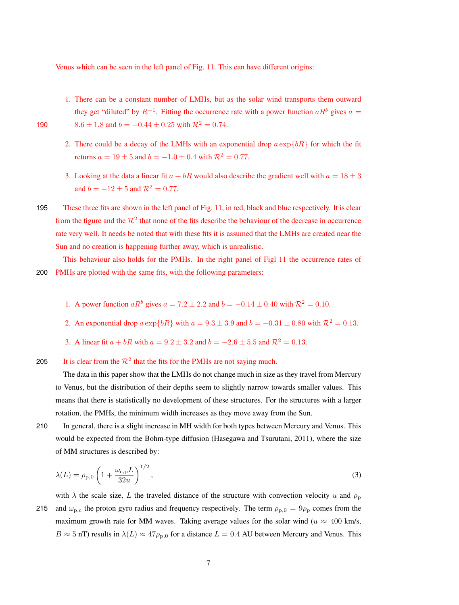Venus which can be seen in the left panel of Fig. 11. This can have different origins:

1. There can be a constant number of LMHs, but as the solar wind transports them outward they get "diluted" by  $R^{-1}$ . Fitting the occurrence rate with a power function  $aR^b$  gives  $a =$ 

- 190 8.6 ± 1.8 and  $b = -0.44 \pm 0.25$  with  $\mathcal{R}^2 = 0.74$ .
	- 2. There could be a decay of the LMHs with an exponential drop  $a \exp\{bR\}$  for which the fit returns  $a = 19 \pm 5$  and  $b = -1.0 \pm 0.4$  with  $R^2 = 0.77$ .
	- 3. Looking at the data a linear fit  $a + bR$  would also describe the gradient well with  $a = 18 \pm 3$ and  $b = -12 \pm 5$  and  $\mathcal{R}^2 = 0.77$ .
- 195 These three fits are shown in the left panel of Fig. 11, in red, black and blue respectively. It is clear from the figure and the  $\mathcal{R}^2$  that none of the fits describe the behaviour of the decrease in occurrence rate very well. It needs be noted that with these fits it is assumed that the LMHs are created near the Sun and no creation is happening further away, which is unrealistic.

This behaviour also holds for the PMHs. In the right panel of Figl 11 the occurrence rates of 200 PMHs are plotted with the same fits, with the following parameters:

- 1. A power function  $aR^b$  gives  $a = 7.2 \pm 2.2$  and  $b = -0.14 \pm 0.40$  with  $\mathcal{R}^2 = 0.10$ .
- 2. An exponential drop  $a \exp\{bR\}$  with  $a = 9.3 \pm 3.9$  and  $b = -0.31 \pm 0.80$  with  $R^2 = 0.13$ .
- 3. A linear fit  $a + bR$  with  $a = 9.2 \pm 3.2$  and  $b = -2.6 \pm 5.5$  and  $\mathcal{R}^2 = 0.13$ .

205 It is clear from the  $\mathcal{R}^2$  that the fits for the PMHs are not saying much.

The data in this paper show that the LMHs do not change much in size as they travel from Mercury to Venus, but the distribution of their depths seem to slightly narrow towards smaller values. This means that there is statistically no development of these structures. For the structures with a larger rotation, the PMHs, the minimum width increases as they move away from the Sun.

210 In general, there is a slight increase in MH width for both types between Mercury and Venus. This would be expected from the Bohm-type diffusion (Hasegawa and Tsurutani, 2011), where the size of MM structures is described by:

$$
\lambda(L) = \rho_{p,0} \left( 1 + \frac{\omega_{c,p} L}{32u} \right)^{1/2},
$$
\n(3)

with  $\lambda$  the scale size, L the traveled distance of the structure with convection velocity u and  $\rho_{\rm p}$ 215 and  $\omega_{p,c}$  the proton gyro radius and frequency respectively. The term  $\rho_{p,0} = 9\rho_p$  comes from the maximum growth rate for MM waves. Taking average values for the solar wind ( $u \approx 400$  km/s,  $B \approx 5$  nT) results in  $\lambda(L) \approx 47 \rho_{p,0}$  for a distance  $L = 0.4$  AU between Mercury and Venus. This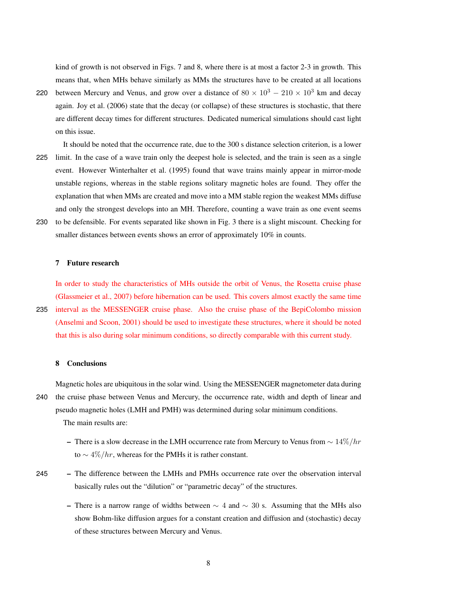kind of growth is not observed in Figs. 7 and 8, where there is at most a factor 2-3 in growth. This means that, when MHs behave similarly as MMs the structures have to be created at all locations

- 220 between Mercury and Venus, and grow over a distance of  $80 \times 10^3 210 \times 10^3$  km and decay again. Joy et al. (2006) state that the decay (or collapse) of these structures is stochastic, that there are different decay times for different structures. Dedicated numerical simulations should cast light on this issue.
- It should be noted that the occurrence rate, due to the 300 s distance selection criterion, is a lower 225 limit. In the case of a wave train only the deepest hole is selected, and the train is seen as a single event. However Winterhalter et al. (1995) found that wave trains mainly appear in mirror-mode unstable regions, whereas in the stable regions solitary magnetic holes are found. They offer the explanation that when MMs are created and move into a MM stable region the weakest MMs diffuse and only the strongest develops into an MH. Therefore, counting a wave train as one event seems
- 230 to be defensible. For events separated like shown in Fig. 3 there is a slight miscount. Checking for smaller distances between events shows an error of approximately 10% in counts.

#### 7 Future research

In order to study the characteristics of MHs outside the orbit of Venus, the Rosetta cruise phase (Glassmeier et al., 2007) before hibernation can be used. This covers almost exactly the same time 235 interval as the MESSENGER cruise phase. Also the cruise phase of the BepiColombo mission (Anselmi and Scoon, 2001) should be used to investigate these structures, where it should be noted that this is also during solar minimum conditions, so directly comparable with this current study.

## 8 Conclusions

Magnetic holes are ubiquitous in the solar wind. Using the MESSENGER magnetometer data during 240 the cruise phase between Venus and Mercury, the occurrence rate, width and depth of linear and pseudo magnetic holes (LMH and PMH) was determined during solar minimum conditions. The main results are:

- There is a slow decrease in the LMH occurrence rate from Mercury to Venus from  $\sim 14\%/hr$ to  $\sim 4\%/hr$ , whereas for the PMHs it is rather constant.
- 245 The difference between the LMHs and PMHs occurrence rate over the observation interval basically rules out the "dilution" or "parametric decay" of the structures.
	- There is a narrow range of widths between  $\sim$  4 and  $\sim$  30 s. Assuming that the MHs also show Bohm-like diffusion argues for a constant creation and diffusion and (stochastic) decay of these structures between Mercury and Venus.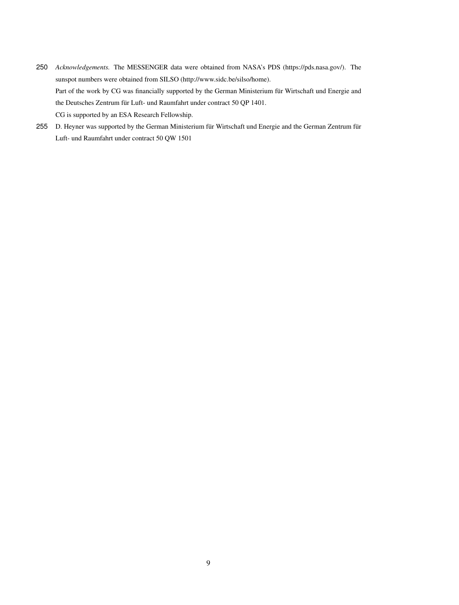- 250 *Acknowledgements.* The MESSENGER data were obtained from NASA's PDS (https://pds.nasa.gov/). The sunspot numbers were obtained from SILSO (http://www.sidc.be/silso/home). Part of the work by CG was financially supported by the German Ministerium für Wirtschaft und Energie and the Deutsches Zentrum für Luft- und Raumfahrt under contract 50 QP 1401. CG is supported by an ESA Research Fellowship.
- 255 D. Heyner was supported by the German Ministerium für Wirtschaft und Energie and the German Zentrum für Luft- und Raumfahrt under contract 50 QW 1501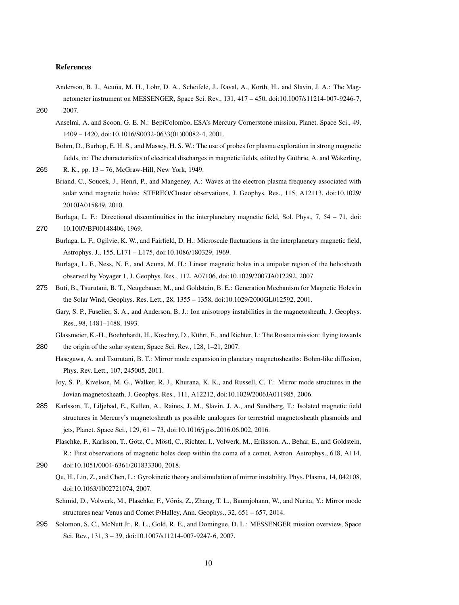#### References

- Anderson, B. J., Acuña, M. H., Lohr, D. A., Scheifele, J., Raval, A., Korth, H., and Slavin, J. A.: The Magnetometer instrument on MESSENGER, Space Sci. Rev., 131, 417 – 450, doi:10.1007/s11214-007-9246-7, 260 2007.
	- Anselmi, A. and Scoon, G. E. N.: BepiColombo, ESA's Mercury Cornerstone mission, Planet. Space Sci., 49, 1409 – 1420, doi:10.1016/S0032-0633(01)00082-4, 2001.

265 R. K., pp. 13 – 76, McGraw-Hill, New York, 1949.

- Briand, C., Soucek, J., Henri, P., and Mangeney, A.: Waves at the electron plasma frequency associated with solar wind magnetic holes: STEREO/Cluster observations, J. Geophys. Res., 115, A12113, doi:10.1029/ 2010JA015849, 2010.
	- Burlaga, L. F.: Directional discontinuities in the interplanetary magnetic field, Sol. Phys., 7, 54 71, doi:

```
270 10.1007/BF00148406, 1969.
```
- Burlaga, L. F., Ogilvie, K. W., and Fairfield, D. H.: Microscale fluctuations in the interplanetary magnetic field, Astrophys. J., 155, L171 – L175, doi:10.1086/180329, 1969.
- Burlaga, L. F., Ness, N. F., and Acuna, M. H.: Linear magnetic holes in a unipolar region of the heliosheath observed by Voyager 1, J. Geophys. Res., 112, A07106, doi:10.1029/2007JA012292, 2007.
- 275 Buti, B., Tsurutani, B. T., Neugebauer, M., and Goldstein, B. E.: Generation Mechanism for Magnetic Holes in the Solar Wind, Geophys. Res. Lett., 28, 1355 – 1358, doi:10.1029/2000GL012592, 2001.
	- Gary, S. P., Fuselier, S. A., and Anderson, B. J.: Ion anisotropy instabilities in the magnetosheath, J. Geophys. Res., 98, 1481–1488, 1993.
- Glassmeier, K.-H., Boehnhardt, H., Koschny, D., Kuhrt, E., and Richter, I.: The Rosetta mission: flying towards ¨ 280 the origin of the solar system, Space Sci. Rev., 128, 1–21, 2007.
	- Hasegawa, A. and Tsurutani, B. T.: Mirror mode expansion in planetary magnetosheaths: Bohm-like diffusion, Phys. Rev. Lett., 107, 245005, 2011.
	- Joy, S. P., Kivelson, M. G., Walker, R. J., Khurana, K. K., and Russell, C. T.: Mirror mode structures in the Jovian magnetosheath, J. Geophys. Res., 111, A12212, doi:10.1029/2006JA011985, 2006.
- 285 Karlsson, T., Liljebad, E., Kullen, A., Raines, J. M., Slavin, J. A., and Sundberg, T.: Isolated magnetic field structures in Mercury's magnetosheath as possible analogues for terrestrial magnetosheath plasmoids and jets, Planet. Space Sci., 129, 61 – 73, doi:10.1016/j.pss.2016.06.002, 2016.

Plaschke, F., Karlsson, T., Götz, C., Möstl, C., Richter, I., Volwerk, M., Eriksson, A., Behar, E., and Goldstein, R.: First observations of magnetic holes deep within the coma of a comet, Astron. Astrophys., 618, A114,

- 290 doi:10.1051/0004-6361/201833300, 2018.
	- Qu, H., Lin, Z., and Chen, L.: Gyrokinetic theory and simulation of mirror instability, Phys. Plasma, 14, 042108, doi:10.1063/1002721074, 2007.
	- Schmid, D., Volwerk, M., Plaschke, F., Vörös, Z., Zhang, T. L., Baumjohann, W., and Narita, Y.: Mirror mode structures near Venus and Comet P/Halley, Ann. Geophys., 32, 651 – 657, 2014.
- 295 Solomon, S. C., McNutt Jr., R. L., Gold, R. E., and Domingue, D. L.: MESSENGER mission overview, Space Sci. Rev., 131, 3 – 39, doi:10.1007/s11214-007-9247-6, 2007.

Bohm, D., Burhop, E. H. S., and Massey, H. S. W.: The use of probes for plasma exploration in strong magnetic fields, in: The characteristics of electrical discharges in magnetic fields, edited by Guthrie, A. and Wakerling,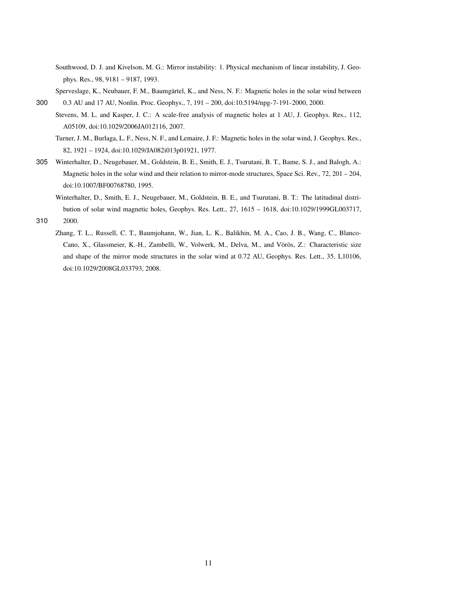- Southwood, D. J. and Kivelson, M. G.: Mirror instability: 1. Physical mechanism of linear instability, J. Geophys. Res., 98, 9181 – 9187, 1993.
- Sperveslage, K., Neubauer, F. M., Baumgärtel, K., and Ness, N. F.: Magnetic holes in the solar wind between 300 0.3 AU and 17 AU, Nonlin. Proc. Geophys., 7, 191 – 200, doi:10.5194/npg-7-191-2000, 2000.
	- Stevens, M. L. and Kasper, J. C.: A scale-free analysis of magnetic holes at 1 AU, J. Geophys. Res., 112, A05109, doi:10.1029/2006JA012116, 2007.
		- Turner, J. M., Burlaga, L. F., Ness, N. F., and Lemaire, J. F.: Magnetic holes in the solar wind, J. Geophys. Res., 82, 1921 – 1924, doi:10.1029/JA082i013p01921, 1977.
- 305 Winterhalter, D., Neugebauer, M., Goldstein, B. E., Smith, E. J., Tsurutani, B. T., Bame, S. J., and Balogh, A.: Magnetic holes in the solar wind and their relation to mirror-mode structures, Space Sci. Rev., 72, 201 – 204, doi:10.1007/BF00768780, 1995.
	- Winterhalter, D., Smith, E. J., Neugebauer, M., Goldstein, B. E., and Tsurutani, B. T.: The latitudinal distribution of solar wind magnetic holes, Geophys. Res. Lett., 27, 1615 – 1618, doi:10.1029/1999GL003717,
- 310 2000.
	- Zhang, T. L., Russell, C. T., Baumjohann, W., Jian, L. K., Balikhin, M. A., Cao, J. B., Wang, C., Blanco-Cano, X., Glassmeier, K.-H., Zambelli, W., Volwerk, M., Delva, M., and Vörös, Z.: Characteristic size and shape of the mirror mode structures in the solar wind at 0.72 AU, Geophys. Res. Lett., 35, L10106, doi:10.1029/2008GL033793, 2008.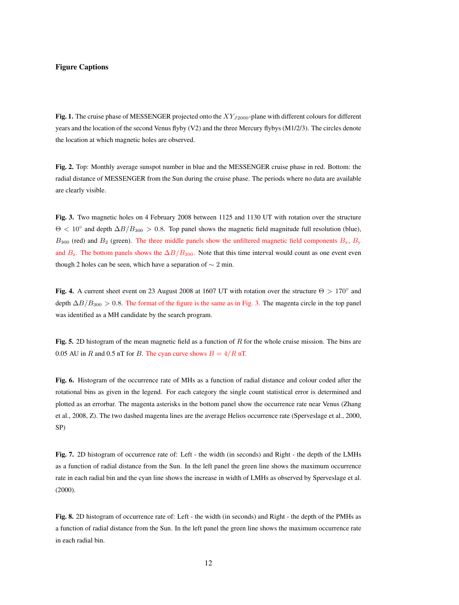# Figure Captions

Fig. 1. The cruise phase of MESSENGER projected onto the  $XY_{J2000}$ -plane with different colours for different years and the location of the second Venus flyby (V2) and the three Mercury flybys (M1/2/3). The circles denote the location at which magnetic holes are observed.

Fig. 2. Top: Monthly average sunspot number in blue and the MESSENGER cruise phase in red. Bottom: the radial distance of MESSENGER from the Sun during the cruise phase. The periods where no data are available are clearly visible.

Fig. 3. Two magnetic holes on 4 February 2008 between 1125 and 1130 UT with rotation over the structure  $\Theta$  < 10° and depth  $\Delta B/B_{300} > 0.8$ . Top panel shows the magnetic field magnitude full resolution (blue),  $B_{300}$  (red) and  $B_2$  (green). The three middle panels show the unfiltered magnetic field components  $B_x$ ,  $B_y$ and  $B_z$ . The bottom panels shows the  $\Delta B/B_{300}$ . Note that this time interval would count as one event even though 2 holes can be seen, which have a separation of  $\sim$  2 min.

Fig. 4. A current sheet event on 23 August 2008 at 1607 UT with rotation over the structure  $\Theta > 170^{\circ}$  and depth  $\Delta B/B_{300} > 0.8$ . The format of the figure is the same as in Fig. 3. The magenta circle in the top panel was identified as a MH candidate by the search program.

Fig. 5. 2D histogram of the mean magnetic field as a function of  $R$  for the whole cruise mission. The bins are 0.05 AU in R and 0.5 nT for B. The cyan curve shows  $B = 4/R$  nT.

Fig. 6. Histogram of the occurrence rate of MHs as a function of radial distance and colour coded after the rotational bins as given in the legend. For each category the single count statistical error is determined and plotted as an errorbar. The magenta asterisks in the bottom panel show the occurrence rate near Venus (Zhang et al., 2008, Z). The two dashed magenta lines are the average Helios occurrence rate (Sperveslage et al., 2000, SP)

Fig. 7. 2D histogram of occurrence rate of: Left - the width (in seconds) and Right - the depth of the LMHs as a function of radial distance from the Sun. In the left panel the green line shows the maximum occurrence rate in each radial bin and the cyan line shows the increase in width of LMHs as observed by Sperveslage et al. (2000).

Fig. 8. 2D histogram of occurrence rate of: Left - the width (in seconds) and Right - the depth of the PMHs as a function of radial distance from the Sun. In the left panel the green line shows the maximum occurrence rate in each radial bin.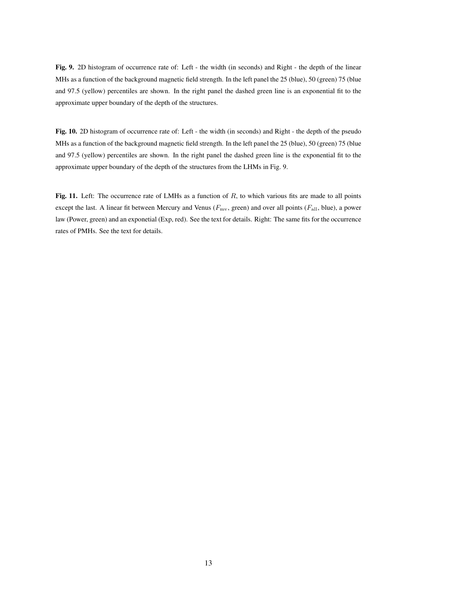Fig. 9. 2D histogram of occurrence rate of: Left - the width (in seconds) and Right - the depth of the linear MHs as a function of the background magnetic field strength. In the left panel the 25 (blue), 50 (green) 75 (blue and 97.5 (yellow) percentiles are shown. In the right panel the dashed green line is an exponential fit to the approximate upper boundary of the depth of the structures.

Fig. 10. 2D histogram of occurrence rate of: Left - the width (in seconds) and Right - the depth of the pseudo MHs as a function of the background magnetic field strength. In the left panel the 25 (blue), 50 (green) 75 (blue and 97.5 (yellow) percentiles are shown. In the right panel the dashed green line is the exponential fit to the approximate upper boundary of the depth of the structures from the LHMs in Fig. 9.

Fig. 11. Left: The occurrence rate of LMHs as a function of  $R$ , to which various fits are made to all points except the last. A linear fit between Mercury and Venus ( $F_{\text{mv}}$ , green) and over all points ( $F_{all}$ , blue), a power law (Power, green) and an exponetial (Exp, red). See the text for details. Right: The same fits for the occurrence rates of PMHs. See the text for details.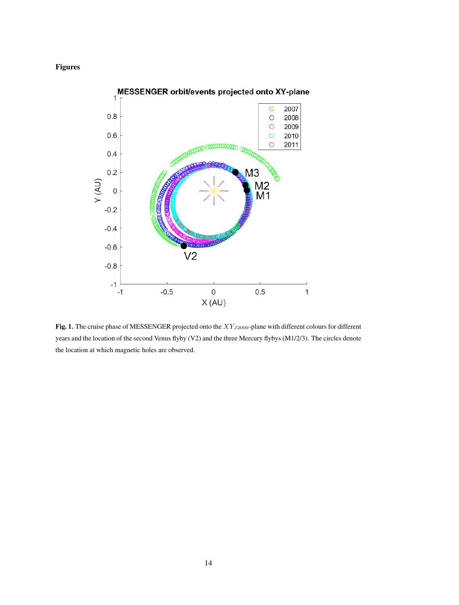# Figures



Fig. 1. The cruise phase of MESSENGER projected onto the  $XY_{J2000}$ -plane with different colours for different years and the location of the second Venus flyby (V2) and the three Mercury flybys (M1/2/3). The circles denote the location at which magnetic holes are observed.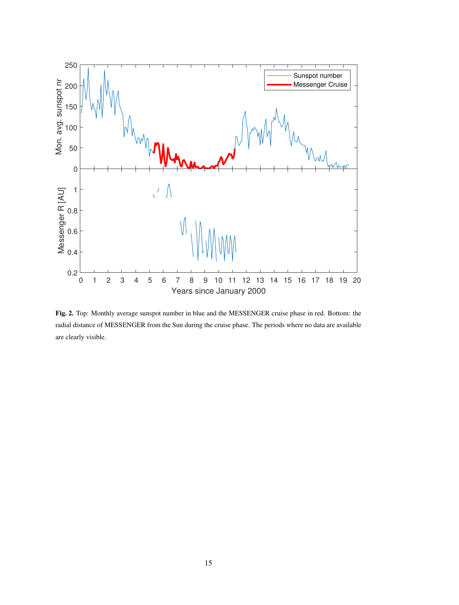

Fig. 2. Top: Monthly average sunspot number in blue and the MESSENGER cruise phase in red. Bottom: the radial distance of MESSENGER from the Sun during the cruise phase. The periods where no data are available are clearly visible.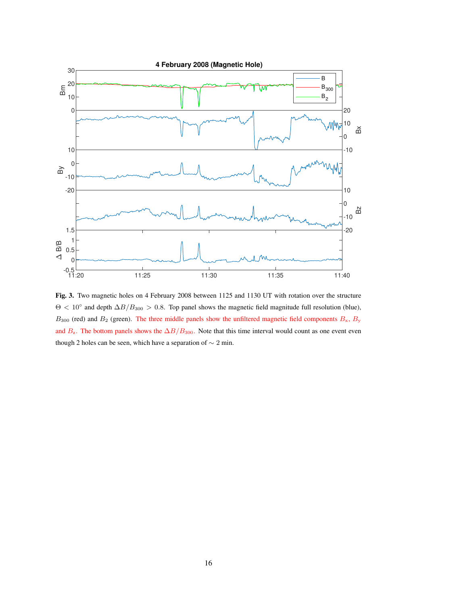

Fig. 3. Two magnetic holes on 4 February 2008 between 1125 and 1130 UT with rotation over the structure  $\Theta$  < 10° and depth  $\Delta B/B_{300} > 0.8$ . Top panel shows the magnetic field magnitude full resolution (blue),  $B_{300}$  (red) and  $B_2$  (green). The three middle panels show the unfiltered magnetic field components  $B_x$ ,  $B_y$ and  $B_z$ . The bottom panels shows the  $\Delta B/B_{300}$ . Note that this time interval would count as one event even though 2 holes can be seen, which have a separation of  $\sim$  2 min.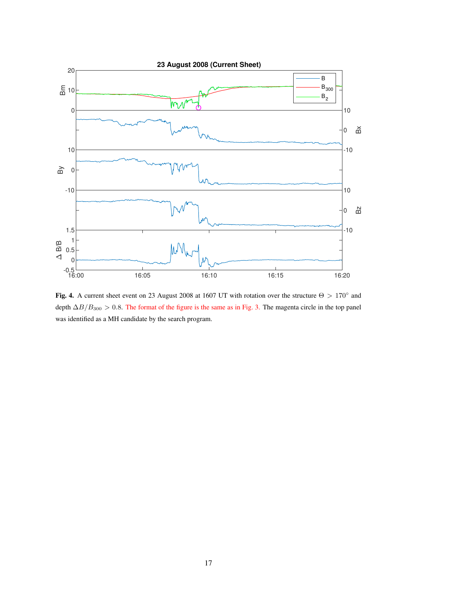

Fig. 4. A current sheet event on 23 August 2008 at 1607 UT with rotation over the structure  $\Theta > 170^{\circ}$  and depth  $\Delta B/B_{300} > 0.8$ . The format of the figure is the same as in Fig. 3. The magenta circle in the top panel was identified as a MH candidate by the search program.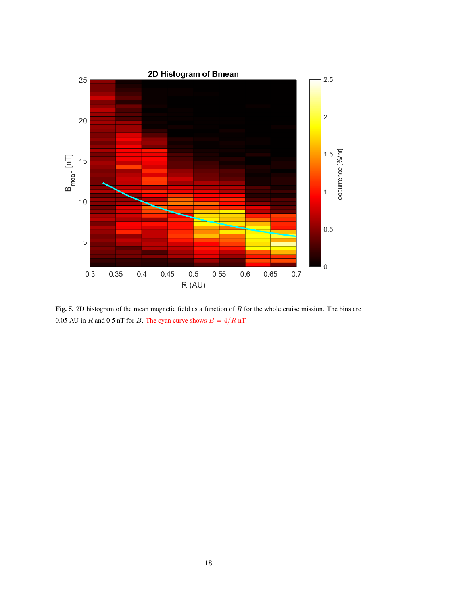

Fig. 5. 2D histogram of the mean magnetic field as a function of  $R$  for the whole cruise mission. The bins are 0.05 AU in  $R$  and 0.5 nT for  $B$ . The cyan curve shows  $B = 4/R$  nT.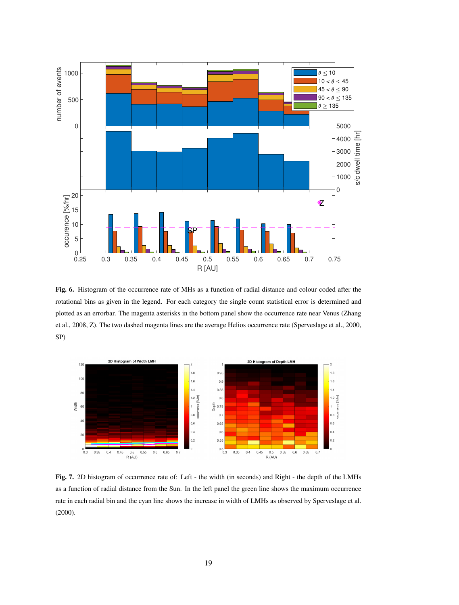

Fig. 6. Histogram of the occurrence rate of MHs as a function of radial distance and colour coded after the rotational bins as given in the legend. For each category the single count statistical error is determined and plotted as an errorbar. The magenta asterisks in the bottom panel show the occurrence rate near Venus (Zhang et al., 2008, Z). The two dashed magenta lines are the average Helios occurrence rate (Sperveslage et al., 2000, SP)



Fig. 7. 2D histogram of occurrence rate of: Left - the width (in seconds) and Right - the depth of the LMHs as a function of radial distance from the Sun. In the left panel the green line shows the maximum occurrence rate in each radial bin and the cyan line shows the increase in width of LMHs as observed by Sperveslage et al. (2000).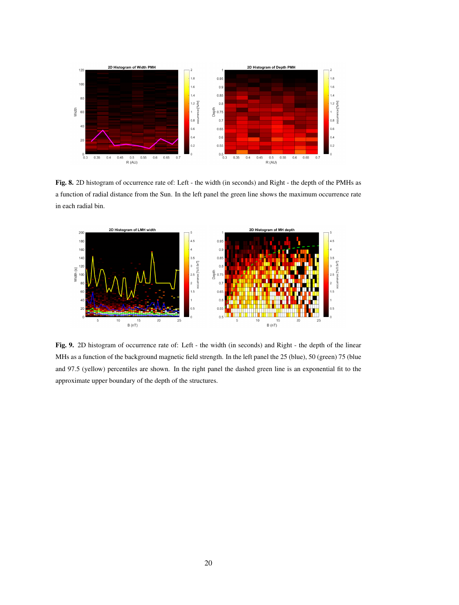

Fig. 8. 2D histogram of occurrence rate of: Left - the width (in seconds) and Right - the depth of the PMHs as a function of radial distance from the Sun. In the left panel the green line shows the maximum occurrence rate in each radial bin.



Fig. 9. 2D histogram of occurrence rate of: Left - the width (in seconds) and Right - the depth of the linear MHs as a function of the background magnetic field strength. In the left panel the 25 (blue), 50 (green) 75 (blue and 97.5 (yellow) percentiles are shown. In the right panel the dashed green line is an exponential fit to the approximate upper boundary of the depth of the structures.